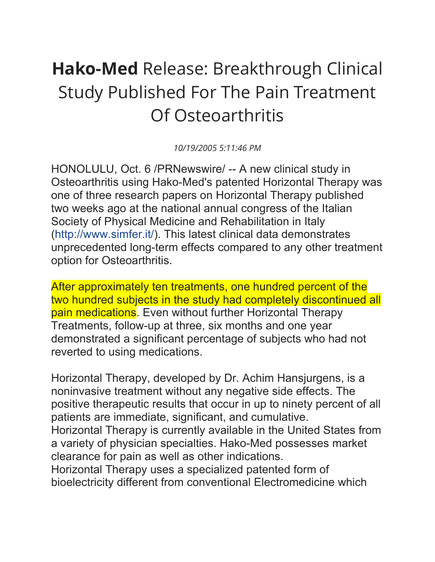## **Hako-Med** Release: Breakthrough Clinical Study Published For The Pain Treatment Of Osteoarthritis

*10/19/2005 5:11:46 PM*

HONOLULU, Oct. 6 /PRNewswire/ -- A new clinical study in Osteoarthritis using Hako-Med's patented Horizontal Therapy was one of three research papers on Horizontal Therapy published two weeks ago at the national annual congress of the Italian Society of Physical Medicine and Rehabilitation in Italy [\(http://www.simfer.it/\)](http://www.simfer.it/). This latest clinical data demonstrates unprecedented long-term effects compared to any other treatment option for Osteoarthritis.

After approximately ten treatments, one hundred percent of the two hundred subjects in the study had completely discontinued all pain medications. Even without further Horizontal Therapy Treatments, follow-up at three, six months and one year demonstrated a significant percentage of subjects who had not reverted to using medications.

Horizontal Therapy, developed by Dr. Achim Hansjurgens, is a noninvasive treatment without any negative side effects. The positive therapeutic results that occur in up to ninety percent of all patients are immediate, significant, and cumulative. Horizontal Therapy is currently available in the United States from a variety of physician specialties. Hako-Med possesses market clearance for pain as well as other indications. Horizontal Therapy uses a specialized patented form of

bioelectricity different from conventional Electromedicine which